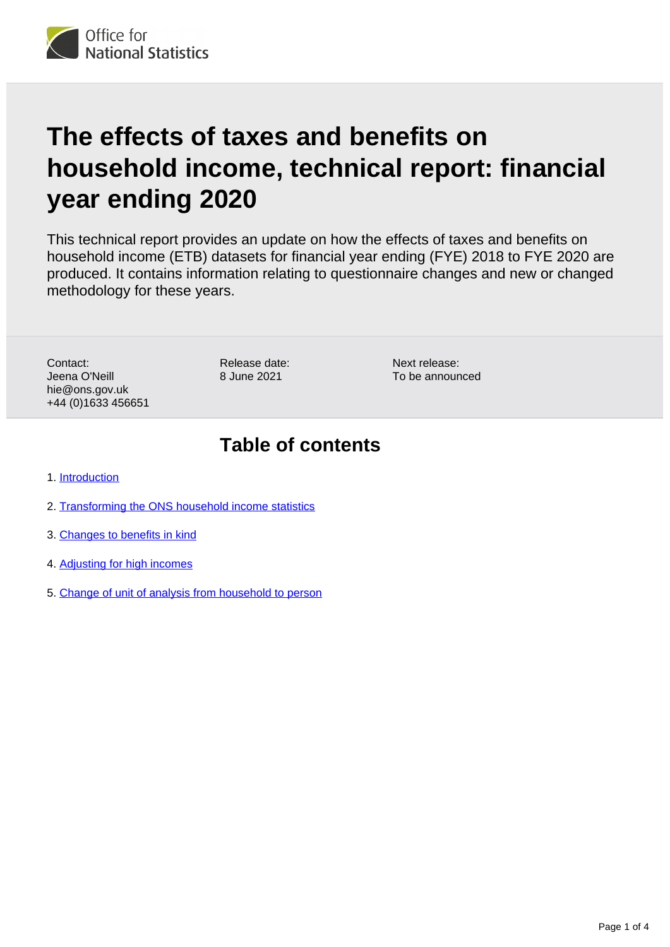

# **The effects of taxes and benefits on household income, technical report: financial year ending 2020**

This technical report provides an update on how the effects of taxes and benefits on household income (ETB) datasets for financial year ending (FYE) 2018 to FYE 2020 are produced. It contains information relating to questionnaire changes and new or changed methodology for these years.

Contact: Jeena O'Neill hie@ons.gov.uk +44 (0)1633 456651 Release date: 8 June 2021

Next release: To be announced

#### **Table of contents**

- 1. [Introduction](#page-1-0)
- 2. [Transforming the ONS household income statistics](#page-1-1)
- 3. [Changes to benefits in kind](#page-1-2)
- 4. [Adjusting for high incomes](#page-3-0)
- 5. [Change of unit of analysis from household to person](#page-3-1)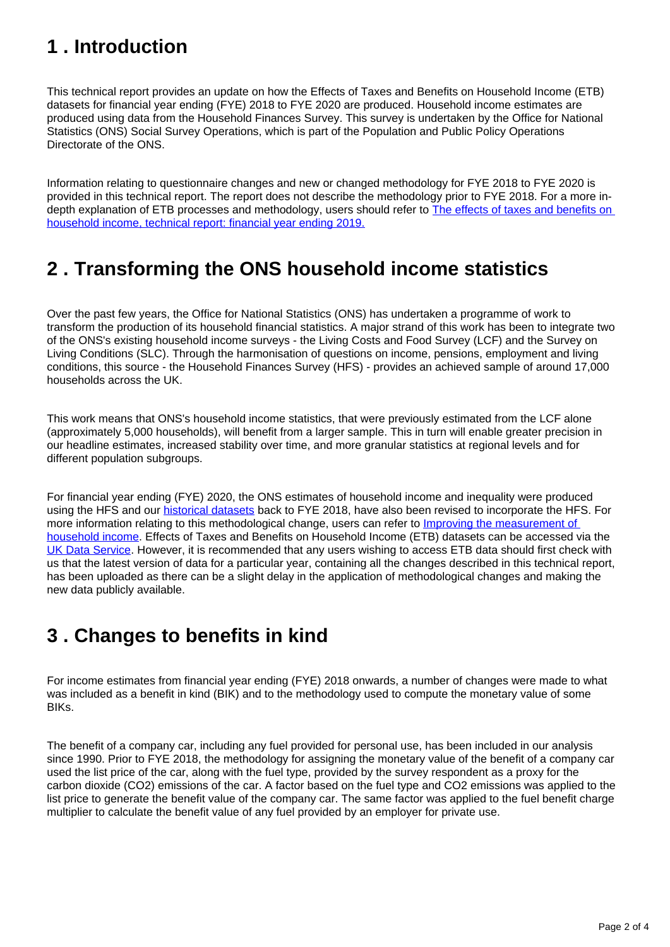### <span id="page-1-0"></span>**1 . Introduction**

This technical report provides an update on how the Effects of Taxes and Benefits on Household Income (ETB) datasets for financial year ending (FYE) 2018 to FYE 2020 are produced. Household income estimates are produced using data from the Household Finances Survey. This survey is undertaken by the Office for National Statistics (ONS) Social Survey Operations, which is part of the Population and Public Policy Operations Directorate of the ONS.

Information relating to questionnaire changes and new or changed methodology for FYE 2018 to FYE 2020 is provided in this technical report. The report does not describe the methodology prior to FYE 2018. For a more indepth explanation of ETB processes and methodology, users should refer to The effects of taxes and benefits on [household income, technical report: financial year ending 2019.](https://www.ons.gov.uk/peoplepopulationandcommunity/personalandhouseholdfinances/incomeandwealth/articles/theeffectsoftaxesandbenefitsonhouseholdincome/financialyearending2019)

### <span id="page-1-1"></span>**2 . Transforming the ONS household income statistics**

Over the past few years, the Office for National Statistics (ONS) has undertaken a programme of work to transform the production of its household financial statistics. A major strand of this work has been to integrate two of the ONS's existing household income surveys - the Living Costs and Food Survey (LCF) and the Survey on Living Conditions (SLC). Through the harmonisation of questions on income, pensions, employment and living conditions, this source - the Household Finances Survey (HFS) - provides an achieved sample of around 17,000 households across the UK.

This work means that ONS's household income statistics, that were previously estimated from the LCF alone (approximately 5,000 households), will benefit from a larger sample. This in turn will enable greater precision in our headline estimates, increased stability over time, and more granular statistics at regional levels and for different population subgroups.

For financial year ending (FYE) 2020, the ONS estimates of household income and inequality were produced using the HFS and our **historical datasets** back to FYE 2018, have also been revised to incorporate the HFS. For more information relating to this methodological change, users can refer to Improving the measurement of [household income.](https://www.ons.gov.uk/peoplepopulationandcommunity/personalandhouseholdfinances/incomeandwealth/methodologies/improvingthemeasurementofhouseholdincome) Effects of Taxes and Benefits on Household Income (ETB) datasets can be accessed via the [UK Data Service](https://ukdataservice.ac.uk/). However, it is recommended that any users wishing to access ETB data should first check with us that the latest version of data for a particular year, containing all the changes described in this technical report, has been uploaded as there can be a slight delay in the application of methodological changes and making the new data publicly available.

### <span id="page-1-2"></span>**3 . Changes to benefits in kind**

For income estimates from financial year ending (FYE) 2018 onwards, a number of changes were made to what was included as a benefit in kind (BIK) and to the methodology used to compute the monetary value of some BIKs.

The benefit of a company car, including any fuel provided for personal use, has been included in our analysis since 1990. Prior to FYE 2018, the methodology for assigning the monetary value of the benefit of a company car used the list price of the car, along with the fuel type, provided by the survey respondent as a proxy for the carbon dioxide (CO2) emissions of the car. A factor based on the fuel type and CO2 emissions was applied to the list price to generate the benefit value of the company car. The same factor was applied to the fuel benefit charge multiplier to calculate the benefit value of any fuel provided by an employer for private use.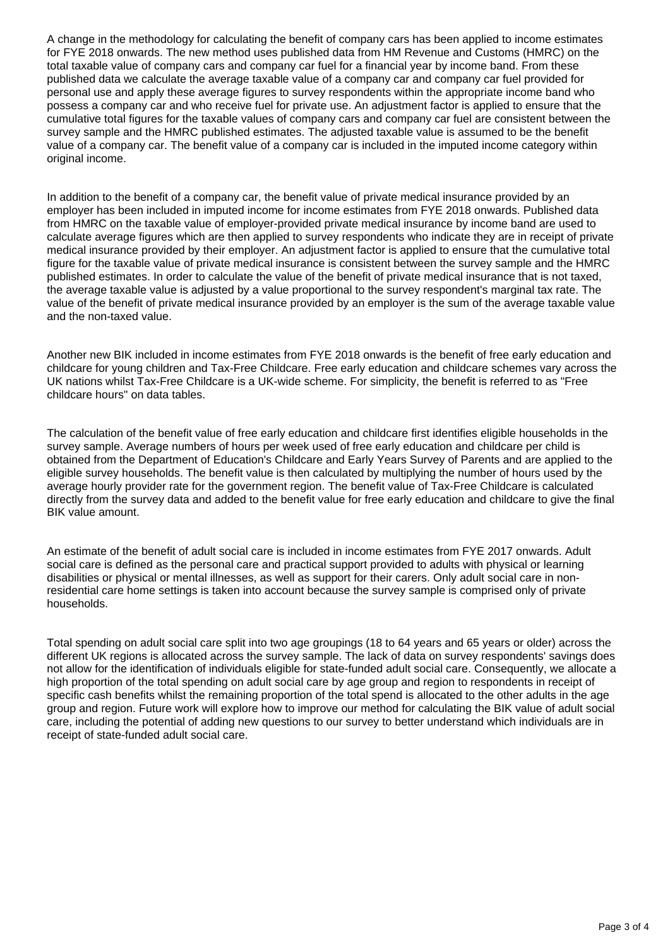A change in the methodology for calculating the benefit of company cars has been applied to income estimates for FYE 2018 onwards. The new method uses published data from HM Revenue and Customs (HMRC) on the total taxable value of company cars and company car fuel for a financial year by income band. From these published data we calculate the average taxable value of a company car and company car fuel provided for personal use and apply these average figures to survey respondents within the appropriate income band who possess a company car and who receive fuel for private use. An adjustment factor is applied to ensure that the cumulative total figures for the taxable values of company cars and company car fuel are consistent between the survey sample and the HMRC published estimates. The adjusted taxable value is assumed to be the benefit value of a company car. The benefit value of a company car is included in the imputed income category within original income.

In addition to the benefit of a company car, the benefit value of private medical insurance provided by an employer has been included in imputed income for income estimates from FYE 2018 onwards. Published data from HMRC on the taxable value of employer-provided private medical insurance by income band are used to calculate average figures which are then applied to survey respondents who indicate they are in receipt of private medical insurance provided by their employer. An adjustment factor is applied to ensure that the cumulative total figure for the taxable value of private medical insurance is consistent between the survey sample and the HMRC published estimates. In order to calculate the value of the benefit of private medical insurance that is not taxed, the average taxable value is adjusted by a value proportional to the survey respondent's marginal tax rate. The value of the benefit of private medical insurance provided by an employer is the sum of the average taxable value and the non-taxed value.

Another new BIK included in income estimates from FYE 2018 onwards is the benefit of free early education and childcare for young children and Tax-Free Childcare. Free early education and childcare schemes vary across the UK nations whilst Tax-Free Childcare is a UK-wide scheme. For simplicity, the benefit is referred to as "Free childcare hours" on data tables.

The calculation of the benefit value of free early education and childcare first identifies eligible households in the survey sample. Average numbers of hours per week used of free early education and childcare per child is obtained from the Department of Education's Childcare and Early Years Survey of Parents and are applied to the eligible survey households. The benefit value is then calculated by multiplying the number of hours used by the average hourly provider rate for the government region. The benefit value of Tax-Free Childcare is calculated directly from the survey data and added to the benefit value for free early education and childcare to give the final BIK value amount.

An estimate of the benefit of adult social care is included in income estimates from FYE 2017 onwards. Adult social care is defined as the personal care and practical support provided to adults with physical or learning disabilities or physical or mental illnesses, as well as support for their carers. Only adult social care in nonresidential care home settings is taken into account because the survey sample is comprised only of private households.

Total spending on adult social care split into two age groupings (18 to 64 years and 65 years or older) across the different UK regions is allocated across the survey sample. The lack of data on survey respondents' savings does not allow for the identification of individuals eligible for state-funded adult social care. Consequently, we allocate a high proportion of the total spending on adult social care by age group and region to respondents in receipt of specific cash benefits whilst the remaining proportion of the total spend is allocated to the other adults in the age group and region. Future work will explore how to improve our method for calculating the BIK value of adult social care, including the potential of adding new questions to our survey to better understand which individuals are in receipt of state-funded adult social care.